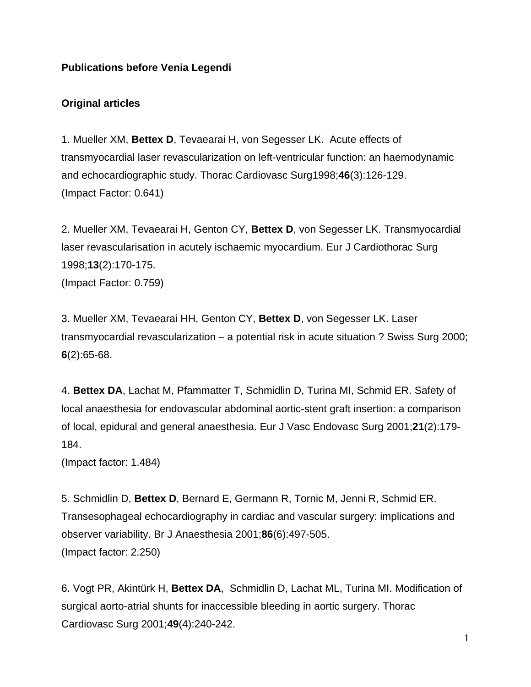# **Publications before Venia Legendi**

## **Original articles**

1. Mueller XM, **Bettex D**, Tevaearai H, von Segesser LK. Acute effects of transmyocardial laser revascularization on left-ventricular function: an haemodynamic and echocardiographic study. Thorac Cardiovasc Surg1998;**46**(3):126-129. (Impact Factor: 0.641)

2. Mueller XM, Tevaearai H, Genton CY, **Bettex D**, von Segesser LK. Transmyocardial laser revascularisation in acutely ischaemic myocardium. Eur J Cardiothorac Surg 1998;**13**(2):170-175. (Impact Factor: 0.759)

3. Mueller XM, Tevaearai HH, Genton CY, **Bettex D**, von Segesser LK. Laser transmyocardial revascularization – a potential risk in acute situation ? Swiss Surg 2000; **6**(2):65-68.

4. **Bettex DA**, Lachat M, Pfammatter T, Schmidlin D, Turina MI, Schmid ER. Safety of local anaesthesia for endovascular abdominal aortic-stent graft insertion: a comparison of local, epidural and general anaesthesia. Eur J Vasc Endovasc Surg 2001;**21**(2):179- 184.

(Impact factor: 1.484)

5. Schmidlin D, **Bettex D**, Bernard E, Germann R, Tornic M, Jenni R, Schmid ER. Transesophageal echocardiography in cardiac and vascular surgery: implications and observer variability. Br J Anaesthesia 2001;**86**(6):497-505. (Impact factor: 2.250)

6. Vogt PR, Akintürk H, **Bettex DA**, Schmidlin D, Lachat ML, Turina MI. Modification of surgical aorto-atrial shunts for inaccessible bleeding in aortic surgery. Thorac Cardiovasc Surg 2001;**49**(4):240-242.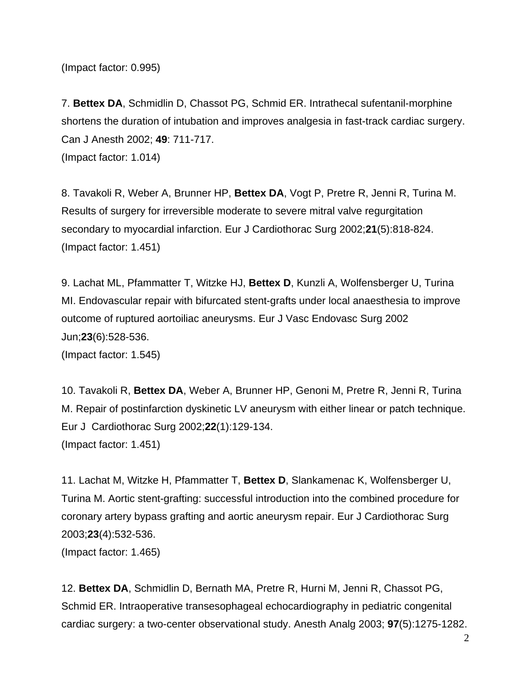(Impact factor: 0.995)

7. **Bettex DA**, Schmidlin D, Chassot PG, Schmid ER. Intrathecal sufentanil-morphine shortens the duration of intubation and improves analgesia in fast-track cardiac surgery. Can J Anesth 2002; **49**: 711-717. (Impact factor: 1.014)

8. Tavakoli R, Weber A, Brunner HP, **Bettex DA**, Vogt P, Pretre R, Jenni R, Turina M. Results of surgery for irreversible moderate to severe mitral valve regurgitation secondary to myocardial infarction. Eur J Cardiothorac Surg 2002;**21**(5):818-824. (Impact factor: 1.451)

9. Lachat ML, Pfammatter T, Witzke HJ, **Bettex D**, Kunzli A, Wolfensberger U, Turina MI. Endovascular repair with bifurcated stent-grafts under local anaesthesia to improve outcome of ruptured aortoiliac aneurysms. Eur J Vasc Endovasc Surg 2002 Jun;**23**(6):528-536.

(Impact factor: 1.545)

10. Tavakoli R, **Bettex DA**, Weber A, Brunner HP, Genoni M, Pretre R, Jenni R, Turina M. Repair of postinfarction dyskinetic LV aneurysm with either linear or patch technique. Eur J Cardiothorac Surg 2002;**22**(1):129-134. (Impact factor: 1.451)

11. Lachat M, Witzke H, Pfammatter T, **Bettex D**, Slankamenac K, Wolfensberger U, Turina M. Aortic stent-grafting: successful introduction into the combined procedure for coronary artery bypass grafting and aortic aneurysm repair. Eur J Cardiothorac Surg 2003;**23**(4):532-536. (Impact factor: 1.465)

12. **Bettex DA**, Schmidlin D, Bernath MA, Pretre R, Hurni M, Jenni R, Chassot PG, Schmid ER. Intraoperative transesophageal echocardiography in pediatric congenital cardiac surgery: a two-center observational study. Anesth Analg 2003; **97**(5):1275-1282.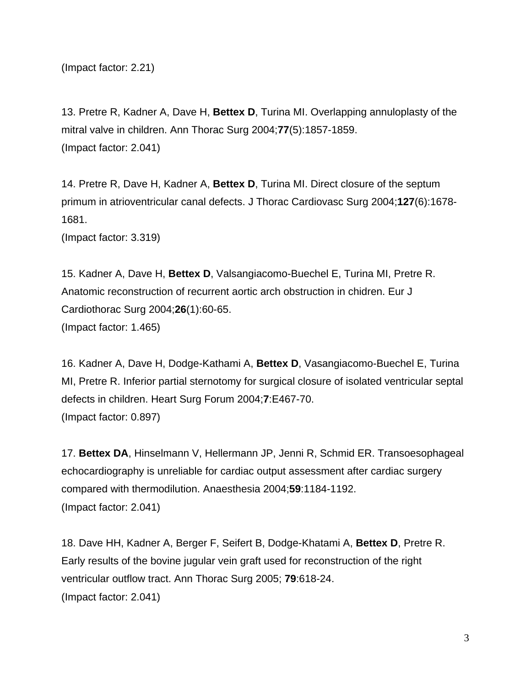(Impact factor: 2.21)

13. Pretre R, Kadner A, Dave H, **Bettex D**, Turina MI. Overlapping annuloplasty of the mitral valve in children. Ann Thorac Surg 2004;**77**(5):1857-1859. (Impact factor: 2.041)

14. Pretre R, Dave H, Kadner A, **Bettex D**, Turina MI. Direct closure of the septum primum in atrioventricular canal defects. J Thorac Cardiovasc Surg 2004;**127**(6):1678- 1681.

(Impact factor: 3.319)

15. Kadner A, Dave H, **Bettex D**, Valsangiacomo-Buechel E, Turina MI, Pretre R. Anatomic reconstruction of recurrent aortic arch obstruction in chidren. Eur J Cardiothorac Surg 2004;**26**(1):60-65. (Impact factor: 1.465)

16. Kadner A, Dave H, Dodge-Kathami A, **Bettex D**, Vasangiacomo-Buechel E, Turina MI, Pretre R. Inferior partial sternotomy for surgical closure of isolated ventricular septal defects in children. Heart Surg Forum 2004;**7**:E467-70. (Impact factor: 0.897)

17. **Bettex DA**, Hinselmann V, Hellermann JP, Jenni R, Schmid ER. Transoesophageal echocardiography is unreliable for cardiac output assessment after cardiac surgery compared with thermodilution. Anaesthesia 2004;**59**:1184-1192. (Impact factor: 2.041)

18. Dave HH, Kadner A, Berger F, Seifert B, Dodge-Khatami A, **Bettex D**, Pretre R. Early results of the bovine jugular vein graft used for reconstruction of the right ventricular outflow tract. Ann Thorac Surg 2005; **79**:618-24. (Impact factor: 2.041)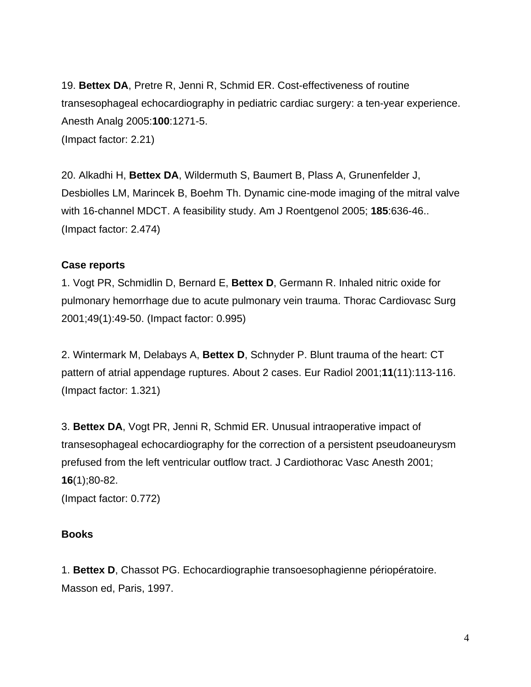19. **Bettex DA**, Pretre R, Jenni R, Schmid ER. Cost-effectiveness of routine transesophageal echocardiography in pediatric cardiac surgery: a ten-year experience. Anesth Analg 2005:**100**:1271-5. (Impact factor: 2.21)

20. Alkadhi H, **Bettex DA**, Wildermuth S, Baumert B, Plass A, Grunenfelder J, Desbiolles LM, Marincek B, Boehm Th. Dynamic cine-mode imaging of the mitral valve with 16-channel MDCT. A feasibility study. Am J Roentgenol 2005; **185**:636-46.. (Impact factor: 2.474)

### **Case reports**

1. Vogt PR, Schmidlin D, Bernard E, **Bettex D**, Germann R. Inhaled nitric oxide for pulmonary hemorrhage due to acute pulmonary vein trauma. Thorac Cardiovasc Surg 2001;49(1):49-50. (Impact factor: 0.995)

2. Wintermark M, Delabays A, **Bettex D**, Schnyder P. Blunt trauma of the heart: CT pattern of atrial appendage ruptures. About 2 cases. Eur Radiol 2001;**11**(11):113-116. (Impact factor: 1.321)

3. **Bettex DA**, Vogt PR, Jenni R, Schmid ER. Unusual intraoperative impact of transesophageal echocardiography for the correction of a persistent pseudoaneurysm prefused from the left ventricular outflow tract. J Cardiothorac Vasc Anesth 2001; **16**(1);80-82.

(Impact factor: 0.772)

#### **Books**

1. **Bettex D**, Chassot PG. Echocardiographie transoesophagienne périopératoire. Masson ed, Paris, 1997.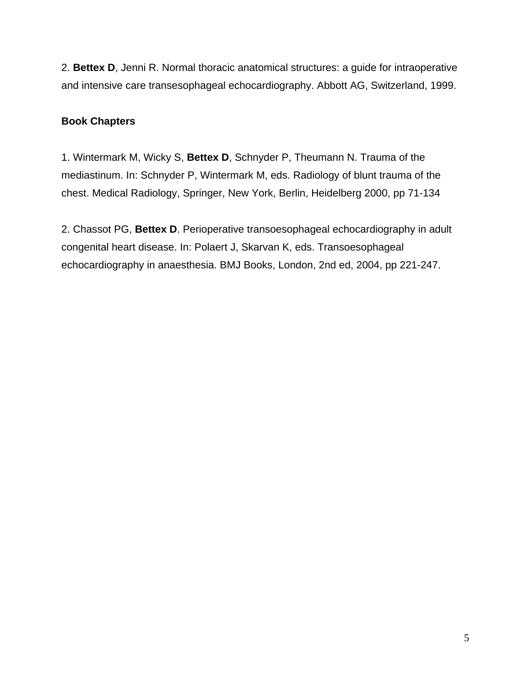2. **Bettex D**, Jenni R. Normal thoracic anatomical structures: a guide for intraoperative and intensive care transesophageal echocardiography. Abbott AG, Switzerland, 1999.

## **Book Chapters**

1. Wintermark M, Wicky S, **Bettex D**, Schnyder P, Theumann N. Trauma of the mediastinum. In: Schnyder P, Wintermark M, eds. Radiology of blunt trauma of the chest. Medical Radiology, Springer, New York, Berlin, Heidelberg 2000, pp 71-134

2. Chassot PG, **Bettex D**. Perioperative transoesophageal echocardiography in adult congenital heart disease. In: Polaert J, Skarvan K, eds. Transoesophageal echocardiography in anaesthesia. BMJ Books, London, 2nd ed, 2004, pp 221-247.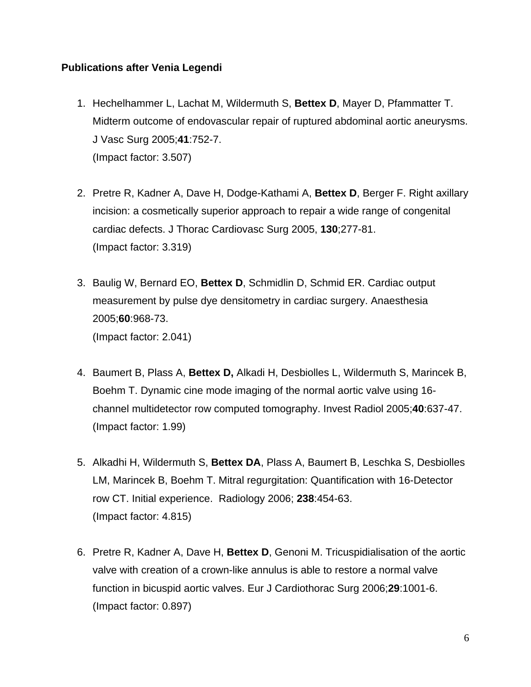### **Publications after Venia Legendi**

- 1. Hechelhammer L, Lachat M, Wildermuth S, **Bettex D**, Mayer D, Pfammatter T. Midterm outcome of endovascular repair of ruptured abdominal aortic aneurysms. J Vasc Surg 2005;**41**:752-7. (Impact factor: 3.507)
- 2. Pretre R, Kadner A, Dave H, Dodge-Kathami A, **Bettex D**, Berger F. Right axillary incision: a cosmetically superior approach to repair a wide range of congenital cardiac defects. J Thorac Cardiovasc Surg 2005, **130**;277-81. (Impact factor: 3.319)
- 3. Baulig W, Bernard EO, **Bettex D**, Schmidlin D, Schmid ER. Cardiac output measurement by pulse dye densitometry in cardiac surgery. Anaesthesia 2005;**60**:968-73. (Impact factor: 2.041)
- 4. Baumert B, Plass A, **Bettex D,** Alkadi H, Desbiolles L, Wildermuth S, Marincek B, Boehm T. Dynamic cine mode imaging of the normal aortic valve using 16 channel multidetector row computed tomography. Invest Radiol 2005;**40**:637-47. (Impact factor: 1.99)
- 5. Alkadhi H, Wildermuth S, **Bettex DA**, Plass A, Baumert B, Leschka S, Desbiolles LM, Marincek B, Boehm T. Mitral regurgitation: Quantification with 16-Detector row CT. Initial experience. Radiology 2006; **238**:454-63. (Impact factor: 4.815)
- 6. Pretre R, Kadner A, Dave H, **Bettex D**, Genoni M. Tricuspidialisation of the aortic valve with creation of a crown-like annulus is able to restore a normal valve function in bicuspid aortic valves. Eur J Cardiothorac Surg 2006;**29**:1001-6. (Impact factor: 0.897)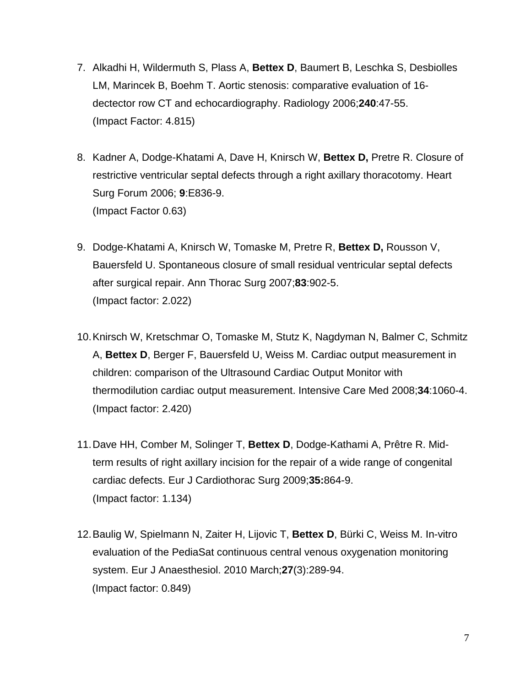- 7. Alkadhi H, Wildermuth S, Plass A, **Bettex D**, Baumert B, Leschka S, Desbiolles LM, Marincek B, Boehm T. Aortic stenosis: comparative evaluation of 16 dectector row CT and echocardiography. Radiology 2006;**240**:47-55. (Impact Factor: 4.815)
- 8. Kadner A, Dodge-Khatami A, Dave H, Knirsch W, **Bettex D,** Pretre R. Closure of restrictive ventricular septal defects through a right axillary thoracotomy. Heart Surg Forum 2006; **9**:E836-9. (Impact Factor 0.63)
- 9. Dodge-Khatami A, Knirsch W, Tomaske M, Pretre R, **Bettex D,** Rousson V, Bauersfeld U. Spontaneous closure of small residual ventricular septal defects after surgical repair. Ann Thorac Surg 2007;**83**:902-5. (Impact factor: 2.022)
- 10.Knirsch W, Kretschmar O, Tomaske M, Stutz K, Nagdyman N, Balmer C, Schmitz A, **Bettex D**, Berger F, Bauersfeld U, Weiss M. Cardiac output measurement in children: comparison of the Ultrasound Cardiac Output Monitor with thermodilution cardiac output measurement. Intensive Care Med 2008;**34**:1060-4. (Impact factor: 2.420)
- 11.Dave HH, Comber M, Solinger T, **Bettex D**, Dodge-Kathami A, Prêtre R. Midterm results of right axillary incision for the repair of a wide range of congenital cardiac defects. Eur J Cardiothorac Surg 2009;**35:**864-9. (Impact factor: 1.134)
- 12.Baulig W, Spielmann N, Zaiter H, Lijovic T, **Bettex D**, Bürki C, Weiss M. In-vitro evaluation of the PediaSat continuous central venous oxygenation monitoring system. Eur J Anaesthesiol. 2010 March;**27**(3):289-94. (Impact factor: 0.849)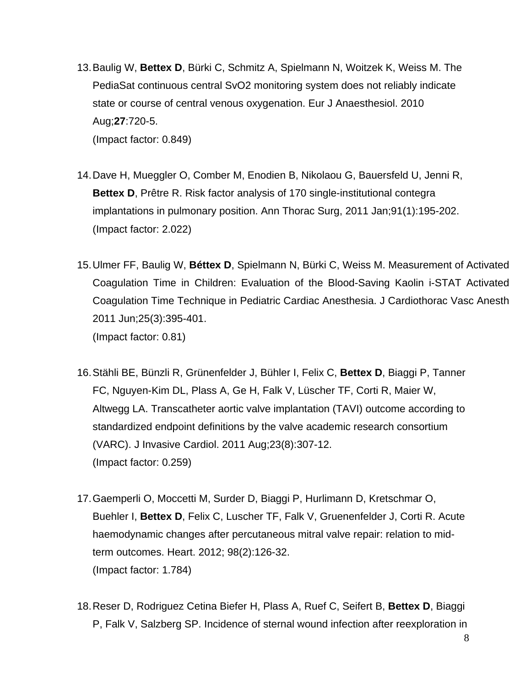- 13.Baulig W, **Bettex D**, Bürki C, Schmitz A, Spielmann N, Woitzek K, Weiss M. The PediaSat continuous central SvO2 monitoring system does not reliably indicate state or course of central venous oxygenation. Eur J Anaesthesiol. 2010 Aug;**27**:720-5. (Impact factor: 0.849)
- 14[.Dave H,](http://www.ncbi.nlm.nih.gov/pubmed?term=%22Dave%20H%22%5BAuthor%5D) [Mueggler O,](http://www.ncbi.nlm.nih.gov/pubmed?term=%22Mueggler%20O%22%5BAuthor%5D) [Comber M,](http://www.ncbi.nlm.nih.gov/pubmed?term=%22Comber%20M%22%5BAuthor%5D) [Enodien B,](http://www.ncbi.nlm.nih.gov/pubmed?term=%22Enodien%20B%22%5BAuthor%5D) [Nikolaou G,](http://www.ncbi.nlm.nih.gov/pubmed?term=%22Nikolaou%20G%22%5BAuthor%5D) [Bauersfeld U,](http://www.ncbi.nlm.nih.gov/pubmed?term=%22Bauersfeld%20U%22%5BAuthor%5D) [Jenni R,](http://www.ncbi.nlm.nih.gov/pubmed?term=%22Jenni%20R%22%5BAuthor%5D) **[Bettex D](http://www.ncbi.nlm.nih.gov/pubmed?term=%22Bettex%20D%22%5BAuthor%5D).** [Prêtre R.](http://www.ncbi.nlm.nih.gov/pubmed?term=%22Pr%C3%AAtre%20R%22%5BAuthor%5D) Risk factor analysis of 170 single-institutional contegra implantations in pulmonary position. Ann Thorac Surg, 2011 Jan;91(1):195-202. (Impact factor: 2.022)
- 15[.Ulmer FF,](http://www.ncbi.nlm.nih.gov/pubmed?term=%22Ulmer%20FF%22%5BAuthor%5D) [Baulig W,](http://www.ncbi.nlm.nih.gov/pubmed?term=%22Baulig%20W%22%5BAuthor%5D) **[Béttex D](http://www.ncbi.nlm.nih.gov/pubmed?term=%22B%C3%A9ttex%20D%22%5BAuthor%5D)**, [Spielmann N,](http://www.ncbi.nlm.nih.gov/pubmed?term=%22Spielmann%20N%22%5BAuthor%5D) [Bürki C,](http://www.ncbi.nlm.nih.gov/pubmed?term=%22B%C3%BCrki%20C%22%5BAuthor%5D) [Weiss M.](http://www.ncbi.nlm.nih.gov/pubmed?term=%22Weiss%20M%22%5BAuthor%5D) Measurement of Activated Coagulation Time in Children: Evaluation of the Blood-Saving Kaolin i-STAT Activated Coagulation Time Technique in Pediatric Cardiac Anesthesia. J Cardiothorac Vasc Anesth 2011 Jun;25(3):395-401. (Impact factor: 0.81)
- 16.Stähli BE, Bünzli R, Grünenfelder J, Bühler I, Felix C, **Bettex D**, Biaggi P, Tanner FC, Nguyen-Kim DL, Plass A, Ge H, Falk V, Lüscher TF, Corti R, Maier W, Altwegg LA. [Transcatheter aortic valve implantation \(TAVI\) outcome according to](http://www.ncbi.nlm.nih.gov/pubmed/21828390)  [standardized endpoint definitions by the valve academic research consortium](http://www.ncbi.nlm.nih.gov/pubmed/21828390)  [\(VARC\).](http://www.ncbi.nlm.nih.gov/pubmed/21828390) J Invasive Cardiol. 2011 Aug;23(8):307-12. (Impact factor: 0.259)
- 17.Gaemperli O, Moccetti M, Surder D, Biaggi P, Hurlimann D, Kretschmar O, Buehler I, **Bettex D**, Felix C, Luscher TF, Falk V, Gruenenfelder J, Corti R. Acute haemodynamic changes after percutaneous mitral valve repair: relation to midterm outcomes. Heart. 2012; 98(2):126-32. (Impact factor: 1.784)
- 18.Reser D, Rodriguez Cetina Biefer H, Plass A, Ruef C, Seifert B, **Bettex D**, Biaggi P, Falk V, Salzberg SP. [Incidence of sternal wound infection after reexploration in](http://www.ncbi.nlm.nih.gov/pubmed/22959563)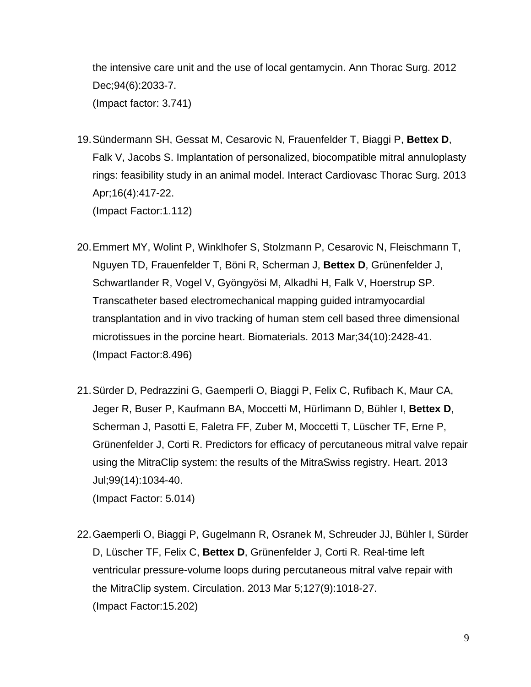[the intensive care unit and the use of local gentamycin.](http://www.ncbi.nlm.nih.gov/pubmed/22959563) Ann Thorac Surg. 2012 Dec;94(6):2033-7. (Impact factor: 3.741)

- 19.Sündermann SH, Gessat M, Cesarovic N, Frauenfelder T, Biaggi P, **Bettex D**, Falk V, Jacobs S. [Implantation of personalized, biocompatible mitral annuloplasty](http://www.ncbi.nlm.nih.gov/pubmed/23287589)  [rings: feasibility study in an animal model.](http://www.ncbi.nlm.nih.gov/pubmed/23287589) Interact Cardiovasc Thorac Surg. 2013 Apr;16(4):417-22. (Impact Factor:1.112)
- 20.Emmert MY, Wolint P, Winklhofer S, Stolzmann P, Cesarovic N, Fleischmann T, Nguyen TD, Frauenfelder T, Böni R, Scherman J, **Bettex D**, Grünenfelder J, Schwartlander R, Vogel V, Gyöngyösi M, Alkadhi H, Falk V, Hoerstrup SP. [Transcatheter based electromechanical mapping guided intramyocardial](http://www.ncbi.nlm.nih.gov/pubmed/23332174)  [transplantation and in vivo tracking of human stem cell based three dimensional](http://www.ncbi.nlm.nih.gov/pubmed/23332174)  [microtissues in the porcine heart.](http://www.ncbi.nlm.nih.gov/pubmed/23332174) Biomaterials. 2013 Mar;34(10):2428-41. (Impact Factor:8.496)
- 21.Sürder D, Pedrazzini G, Gaemperli O, Biaggi P, Felix C, Rufibach K, Maur CA, Jeger R, Buser P, Kaufmann BA, Moccetti M, Hürlimann D, Bühler I, **Bettex D**, Scherman J, Pasotti E, Faletra FF, Zuber M, Moccetti T, Lüscher TF, Erne P, Grünenfelder J, Corti R. [Predictors for efficacy of percutaneous mitral valve repair](http://www.ncbi.nlm.nih.gov/pubmed/23343688)  [using the MitraClip system: the results of the MitraSwiss registry.](http://www.ncbi.nlm.nih.gov/pubmed/23343688) Heart. 2013 Jul;99(14):1034-40. (Impact Factor: 5.014)
- 22.Gaemperli O, Biaggi P, Gugelmann R, Osranek M, Schreuder JJ, Bühler I, Sürder D, Lüscher TF, Felix C, **Bettex D**, Grünenfelder J, Corti R. [Real-time left](http://www.ncbi.nlm.nih.gov/pubmed/23378298)  [ventricular pressure-volume loops during percutaneous mitral valve repair with](http://www.ncbi.nlm.nih.gov/pubmed/23378298)  [the MitraClip system.](http://www.ncbi.nlm.nih.gov/pubmed/23378298) Circulation. 2013 Mar 5;127(9):1018-27. (Impact Factor:15.202)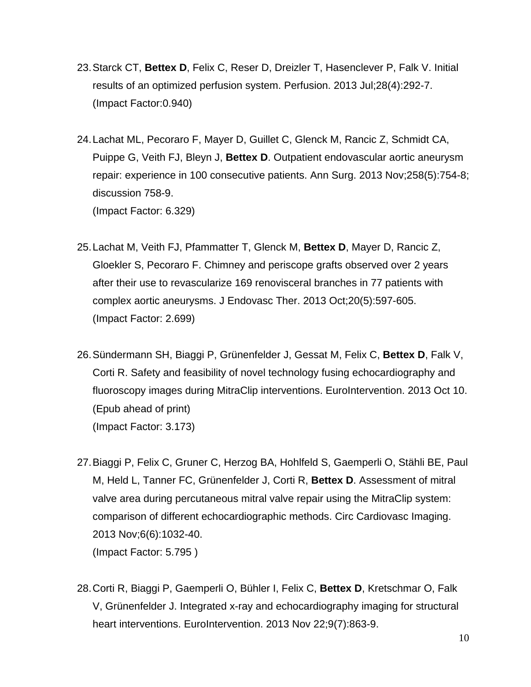- 23.Starck CT, **Bettex D**, Felix C, Reser D, Dreizler T, Hasenclever P, Falk V. Initial results of an optimized perfusion system. Perfusion. 2013 Jul;28(4):292-7. (Impact Factor:0.940)
- 24.Lachat ML, Pecoraro F, Mayer D, Guillet C, Glenck M, Rancic Z, Schmidt CA, Puippe G, Veith FJ, Bleyn J, **Bettex D**. [Outpatient endovascular aortic aneurysm](http://www.ncbi.nlm.nih.gov/pubmed/24045449)  [repair: experience in 100 consecutive patients.](http://www.ncbi.nlm.nih.gov/pubmed/24045449) Ann Surg. 2013 Nov;258(5):754-8; discussion 758-9. (Impact Factor: 6.329)
- 25.Lachat M, Veith FJ, Pfammatter T, Glenck M, **Bettex D**, Mayer D, Rancic Z, Gloekler S, Pecoraro F. [Chimney and periscope grafts observed over 2 years](http://www.ncbi.nlm.nih.gov/pubmed/24093310)  [after their use to revascularize 169 renovisceral branches in 77 patients with](http://www.ncbi.nlm.nih.gov/pubmed/24093310)  [complex aortic aneurysms.](http://www.ncbi.nlm.nih.gov/pubmed/24093310) J Endovasc Ther. 2013 Oct;20(5):597-605. (Impact Factor: 2.699)
- 26.Sündermann SH, Biaggi P, Grünenfelder J, Gessat M, Felix C, **Bettex D**, Falk V, Corti R. [Safety and feasibility of novel technology fusing echocardiography and](http://www.ncbi.nlm.nih.gov/pubmed/24103772)  [fluoroscopy images during MitraClip interventions.](http://www.ncbi.nlm.nih.gov/pubmed/24103772) EuroIntervention. 2013 Oct 10. (Epub ahead of print) (Impact Factor: 3.173)
- 27.Biaggi P, Felix C, Gruner C, Herzog BA, Hohlfeld S, Gaemperli O, Stähli BE, Paul M, Held L, Tanner FC, Grünenfelder J, Corti R, **Bettex D**. [Assessment of mitral](http://www.ncbi.nlm.nih.gov/pubmed/24134955)  [valve area during percutaneous mitral valve repair using the MitraClip](http://www.ncbi.nlm.nih.gov/pubmed/24134955) system: [comparison of different echocardiographic methods.](http://www.ncbi.nlm.nih.gov/pubmed/24134955) Circ Cardiovasc Imaging. 2013 Nov;6(6):1032-40. (Impact Factor: 5.795 )
- 28.Corti R, Biaggi P, Gaemperli O, Bühler I, Felix C, **Bettex D**, Kretschmar O, Falk V, Grünenfelder J. [Integrated x-ray and echocardiography imaging for structural](http://www.ncbi.nlm.nih.gov/pubmed/24280159)  [heart interventions.](http://www.ncbi.nlm.nih.gov/pubmed/24280159) EuroIntervention. 2013 Nov 22;9(7):863-9.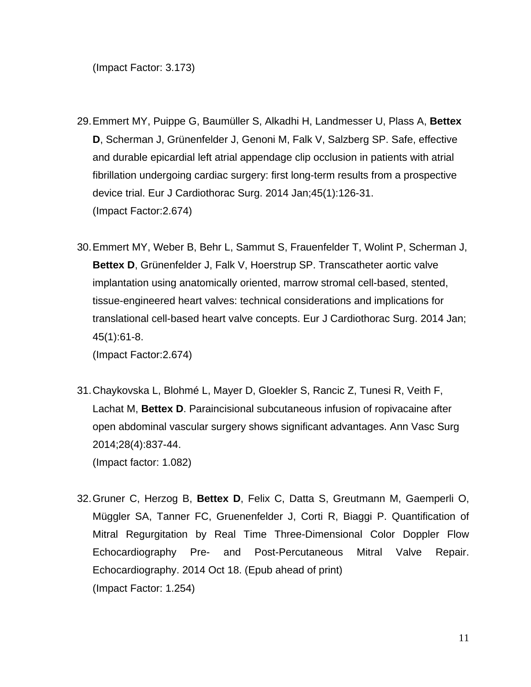(Impact Factor: 3.173)

- 29.Emmert MY, Puippe G, Baumüller S, Alkadhi H, Landmesser U, Plass A, **Bettex D**, Scherman J, Grünenfelder J, Genoni M, Falk V, Salzberg SP. Safe, effective and durable epicardial left atrial appendage clip occlusion in patients with atrial fibrillation undergoing cardiac surgery: first long-term results from a prospective device trial. Eur J Cardiothorac Surg. 2014 Jan;45(1):126-31. (Impact Factor:2.674)
- 30.Emmert MY, Weber B, Behr L, Sammut S, Frauenfelder T, Wolint P, Scherman J, **Bettex D**, Grünenfelder J, Falk V, Hoerstrup SP. Transcatheter aortic valve implantation using anatomically oriented, marrow stromal cell-based, stented, tissue-engineered heart valves: technical considerations and implications for translational cell-based heart valve concepts. Eur J Cardiothorac Surg. 2014 Jan; 45(1):61-8.

(Impact Factor:2.674)

- 31.Chaykovska L, Blohmé L, Mayer D, Gloekler S, Rancic Z, Tunesi R, Veith F, Lachat M, **Bettex D**. Paraincisional subcutaneous infusion of ropivacaine after open abdominal vascular surgery shows significant advantages. Ann Vasc Surg 2014;28(4):837-44. (Impact factor: 1.082)
- 32.Gruner C, Herzog B, **Bettex D**, Felix C, Datta S, Greutmann M, Gaemperli O, Müggler SA, Tanner FC, Gruenenfelder J, Corti R, Biaggi P. Quantification of Mitral Regurgitation by Real Time Three-Dimensional Color Doppler Flow Echocardiography Pre- and Post-Percutaneous Mitral Valve Repair. Echocardiography. 2014 Oct 18. (Epub ahead of print) (Impact Factor: 1.254)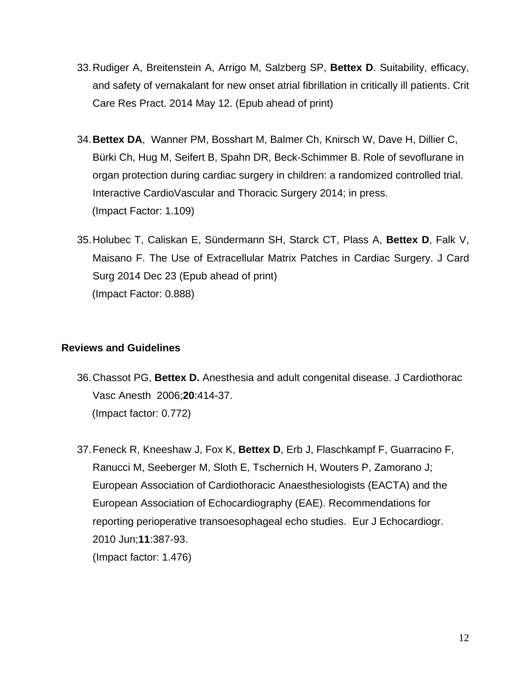- 33.Rudiger A, Breitenstein A, Arrigo M, Salzberg SP, **Bettex D**. Suitability, efficacy, and safety of vernakalant for new onset atrial fibrillation in critically ill patients. Crit Care Res Pract. 2014 May 12. (Epub ahead of print)
- 34.**Bettex DA**, Wanner PM, Bosshart M, Balmer Ch, Knirsch W, Dave H, Dillier C, Bürki Ch, Hug M, Seifert B, Spahn DR, Beck-Schimmer B. Role of sevoflurane in organ protection during cardiac surgery in children: a randomized controlled trial. Interactive CardioVascular and Thoracic Surgery 2014; in press. (Impact Factor: 1.109)
- 35.Holubec T, Caliskan E, Sündermann SH, Starck CT, Plass A, **Bettex D**, Falk V, Maisano F. The Use of Extracellular Matrix Patches in Cardiac Surgery. J Card Surg 2014 Dec 23 (Epub ahead of print) (Impact Factor: 0.888)

#### **Reviews and Guidelines**

- 36.Chassot PG, **Bettex D.** Anesthesia and adult congenital disease. J Cardiothorac Vasc Anesth 2006;**20**:414-37. (Impact factor: 0.772)
- 37.Feneck R, Kneeshaw J, Fox K, **Bettex D**, Erb J, Flaschkampf F, Guarracino F, Ranucci M, Seeberger M, Sloth E, Tschernich H, Wouters P, Zamorano J; European Association of Cardiothoracic Anaesthesiologists (EACTA) and the European Association of Echocardiography (EAE). Recommendations for reporting perioperative transoesophageal echo studies. Eur J Echocardiogr. 2010 Jun;**11**:387-93. (Impact factor: 1.476)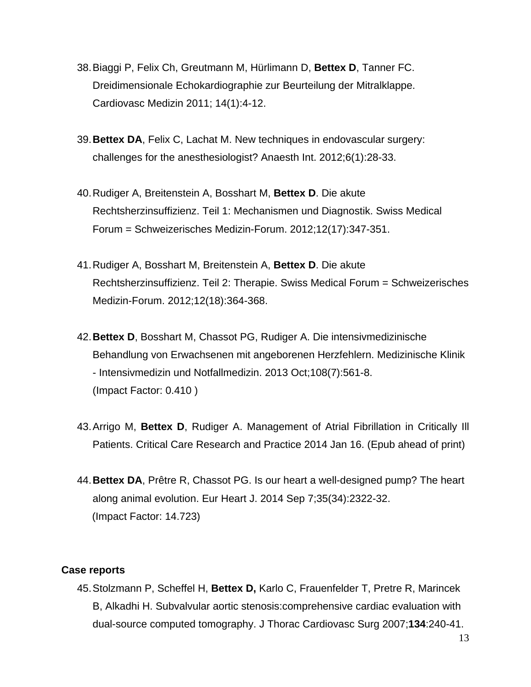- 38.Biaggi P, Felix Ch, Greutmann M, Hürlimann D, **Bettex D**, Tanner FC. Dreidimensionale Echokardiographie zur Beurteilung der Mitralklappe. Cardiovasc Medizin 2011; 14(1):4-12.
- 39.**Bettex DA**, Felix C, Lachat M. New techniques in endovascular surgery: challenges for the anesthesiologist? Anaesth Int. 2012;6(1):28-33.
- 40[.Rudiger](http://www.zora.uzh.ch/view/authors_for_linking_in_citation/Rudiger=3AAlain=3A=3A.html) A, [Breitenstein](http://www.zora.uzh.ch/view/authors_for_linking_in_citation/Breitenstein=3AAlexander=3A=3A.html) A, [Bosshart](http://www.zora.uzh.ch/view/authors_for_linking_in_citation/Bosshart=3AMarco=3A=3A.html) M, **Bettex D**. [Die akute](http://www.zora.uzh.ch/69578/)  [Rechtsherzinsuffizienz. Teil 1: Mechanismen und Diagnostik.](http://www.zora.uzh.ch/69578/) Swiss Medical Forum = Schweizerisches Medizin-Forum. 2012;12(17):347-351.
- 41[.Rudiger](http://www.zora.uzh.ch/view/authors_for_linking_in_citation/Rudiger=3AAlain=3A=3A.html) A, [Bosshart](http://www.zora.uzh.ch/view/authors_for_linking_in_citation/Bosshart=3AMarco=3A=3A.html) M, [Breitenstein](http://www.zora.uzh.ch/view/authors_for_linking_in_citation/Breitenstein=3AAlexander=3A=3A.html) A, **[Bettex](http://www.zora.uzh.ch/view/authors_for_linking_in_citation/Bettex=3ADominique=3A=3A.html) D**. [Die akute](http://www.zora.uzh.ch/69581/)  [Rechtsherzinsuffizienz. Teil 2: Therapie.](http://www.zora.uzh.ch/69581/) Swiss Medical Forum = Schweizerisches Medizin-Forum. 2012;12(18):364-368.
- 42.**Bettex D**, Bosshart M, Chassot PG, Rudiger A. Die intensivmedizinische Behandlung von Erwachsenen mit angeborenen Herzfehlern. Medizinische Klinik - Intensivmedizin und Notfallmedizin. 2013 Oct;108(7):561-8. (Impact Factor: 0.410 )
- 43.Arrigo M, **Bettex D**, Rudiger A. Management of Atrial Fibrillation in Critically Ill Patients. Critical Care Research and Practice 2014 Jan 16. (Epub ahead of print)
- 44.**Bettex DA**, Prêtre R, Chassot PG. Is our heart a well-designed pump? The heart along animal evolution. Eur Heart J. 2014 Sep 7;35(34):2322-32. (Impact Factor: 14.723)

#### **Case reports**

45.Stolzmann P, Scheffel H, **Bettex D,** Karlo C, Frauenfelder T, Pretre R, Marincek B, Alkadhi H. Subvalvular aortic stenosis:comprehensive cardiac evaluation with dual-source computed tomography. J Thorac Cardiovasc Surg 2007;**134**:240-41.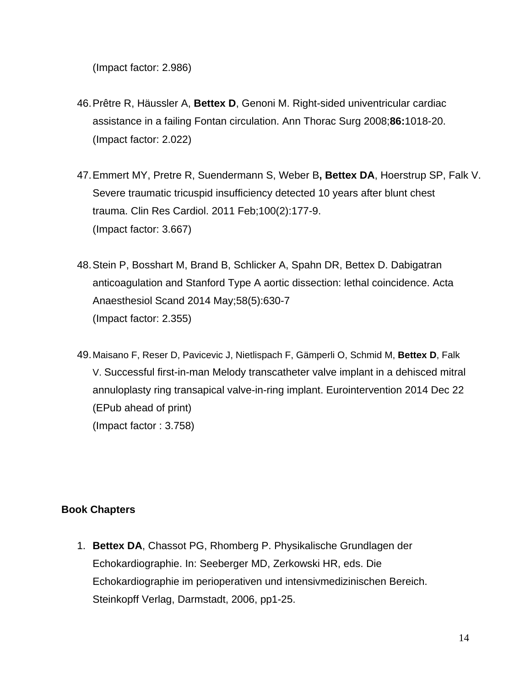(Impact factor: 2.986)

- 46.Prêtre R, Häussler A, **Bettex D**, Genoni M. Right-sided univentricular cardiac assistance in a failing Fontan circulation. Ann Thorac Surg 2008;**86:**1018-20. (Impact factor: 2.022)
- 47[.Emmert MY,](http://www.ncbi.nlm.nih.gov/pubmed?term=%22Emmert%20MY%22%5BAuthor%5D) [Pretre R,](http://www.ncbi.nlm.nih.gov/pubmed?term=%22Pretre%20R%22%5BAuthor%5D) [Suendermann S,](http://www.ncbi.nlm.nih.gov/pubmed?term=%22Suendermann%20S%22%5BAuthor%5D) [Weber B](http://www.ncbi.nlm.nih.gov/pubmed?term=%22Weber%20B%22%5BAuthor%5D)**, [Bettex DA](http://www.ncbi.nlm.nih.gov/pubmed?term=%22Bettex%20DA%22%5BAuthor%5D)**, [Hoerstrup SP,](http://www.ncbi.nlm.nih.gov/pubmed?term=%22Hoerstrup%20SP%22%5BAuthor%5D) [Falk V.](http://www.ncbi.nlm.nih.gov/pubmed?term=%22Falk%20V%22%5BAuthor%5D) Severe traumatic tricuspid insufficiency detected 10 years after blunt chest trauma. Clin Res Cardiol. 2011 Feb;100(2):177-9. (Impact factor: 3.667)
- 48.Stein P, Bosshart M, Brand B, Schlicker A, Spahn DR, Bettex D. Dabigatran anticoagulation and Stanford Type A aortic dissection: lethal coincidence. Acta Anaesthesiol Scand 2014 May;58(5):630-7 (Impact factor: 2.355)
- 49.Maisano F, Reser D, Pavicevic J, Nietlispach F, Gämperli O, Schmid M, **Bettex D**, Falk V. Successful first-in-man Melody transcatheter valve implant in a dehisced mitral annuloplasty ring transapical valve-in-ring implant. Eurointervention 2014 Dec 22 (EPub ahead of print) (Impact factor : 3.758)

# **Book Chapters**

1. **Bettex DA**, Chassot PG, Rhomberg P. Physikalische Grundlagen der Echokardiographie. In: Seeberger MD, Zerkowski HR, eds. Die Echokardiographie im perioperativen und intensivmedizinischen Bereich. Steinkopff Verlag, Darmstadt, 2006, pp1-25.